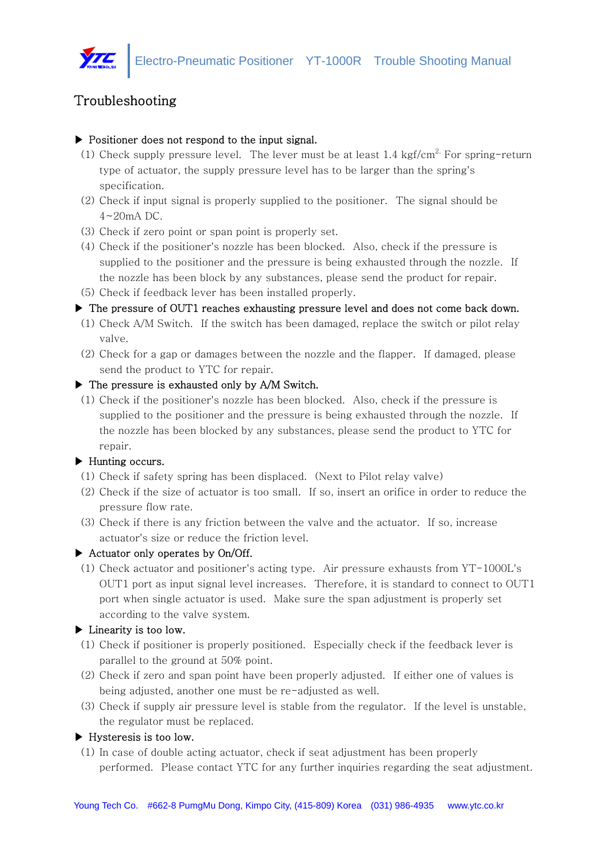

# Troubleshooting

### ▶ Positioner does not respond to the input signal.

- (1) Check supply pressure level. The lever must be at least  $1.4 \text{ kgf/cm}^2$ . For spring-return type of actuator, the supply pressure level has to be larger than the spring's specification.
- (2) Check if input signal is properly supplied to the positioner. The signal should be 4~20mA DC.
- (3) Check if zero point or span point is properly set.
- (4) Check if the positioner's nozzle has been blocked. Also, check if the pressure is supplied to the positioner and the pressure is being exhausted through the nozzle. If the nozzle has been block by any substances, please send the product for repair.
- (5) Check if feedback lever has been installed properly.

### ▶ The pressure of OUT1 reaches exhausting pressure level and does not come back down.

- (1) Check A/M Switch. If the switch has been damaged, replace the switch or pilot relay valve.
- (2) Check for a gap or damages between the nozzle and the flapper. If damaged, please send the product to YTC for repair.

### ▶ The pressure is exhausted only by A/M Switch.

(1) Check if the positioner's nozzle has been blocked. Also, check if the pressure is supplied to the positioner and the pressure is being exhausted through the nozzle. If the nozzle has been blocked by any substances, please send the product to YTC for repair.

# ▶ Hunting occurs.

- (1) Check if safety spring has been displaced. (Next to Pilot relay valve)
- (2) Check if the size of actuator is too small. If so, insert an orifice in order to reduce the pressure flow rate.
- (3) Check if there is any friction between the valve and the actuator. If so, increase actuator's size or reduce the friction level.

# ▶ Actuator only operates by On/Off.

(1) Check actuator and positioner's acting type. Air pressure exhausts from YT-1000L's OUT1 port as input signal level increases. Therefore, it is standard to connect to OUT1 port when single actuator is used. Make sure the span adjustment is properly set according to the valve system.

# ▶ Linearity is too low.

- (1) Check if positioner is properly positioned. Especially check if the feedback lever is parallel to the ground at 50% point.
- (2) Check if zero and span point have been properly adjusted. If either one of values is being adjusted, another one must be re-adjusted as well.
- (3) Check if supply air pressure level is stable from the regulator. If the level is unstable, the regulator must be replaced.

# ▶ Hysteresis is too low.

(1) In case of double acting actuator, check if seat adjustment has been properly performed. Please contact YTC for any further inquiries regarding the seat adjustment.